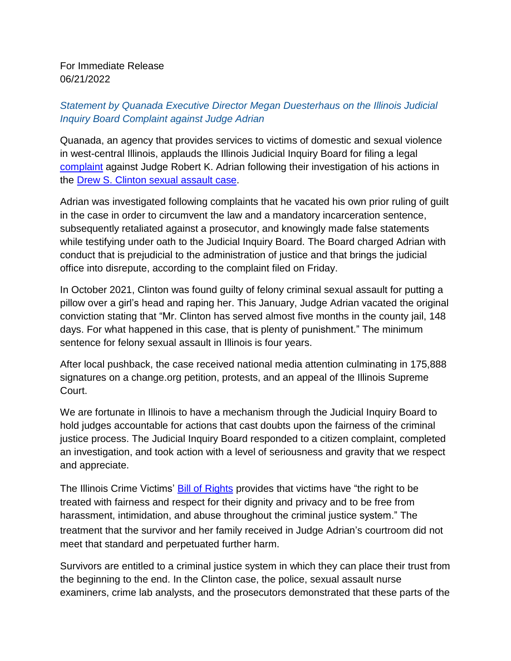For Immediate Release 06/21/2022

## *Statement by Quanada Executive Director Megan Duesterhaus on the Illinois Judicial Inquiry Board Complaint against Judge Adrian*

Quanada, an agency that provides services to victims of domestic and sexual violence in west-central Illinois, applauds the Illinois Judicial Inquiry Board for filing a legal [complaint](https://www.wgem.com/2022/06/21/judge-robert-adrian-faces-complaint-illinois-judicial-inquiry-board/?fbclid=IwAR3Mmo6ycM7X6DH7m247V5SI6HjfMkt49Lbyn6c8hIU9GBbo73jfOMaoFik) against Judge Robert K. Adrian following their investigation of his actions in the Drew S. Clinton sexual [assault](https://www.judici.com/courts/cases/case_information.jsp?court=IL001025J&ocl=IL001025J,2021CF396,IL001025JL2021CF396D1) case.

Adrian was investigated following complaints that he vacated his own prior ruling of guilt in the case in order to circumvent the law and a mandatory incarceration sentence, subsequently retaliated against a prosecutor, and knowingly made false statements while testifying under oath to the Judicial Inquiry Board. The Board charged Adrian with conduct that is prejudicial to the administration of justice and that brings the judicial office into disrepute, according to the complaint filed on Friday.

In October 2021, Clinton was found guilty of felony criminal sexual assault for putting a pillow over a girl's head and raping her. This January, Judge Adrian vacated the original conviction stating that "Mr. Clinton has served almost five months in the county jail, 148 days. For what happened in this case, that is plenty of punishment." The minimum sentence for felony sexual assault in Illinois is four years.

After local pushback, the case received national media attention culminating in 175,888 signatures on a change.org petition, protests, and an appeal of the Illinois Supreme Court.

We are fortunate in Illinois to have a mechanism through the Judicial Inquiry Board to hold judges accountable for actions that cast doubts upon the fairness of the criminal justice process. The Judicial Inquiry Board responded to a citizen complaint, completed an investigation, and took action with a level of seriousness and gravity that we respect and appreciate.

The Illinois Crime Victims' **Bill of [Rights](https://illinoisattorneygeneral.gov/victims/CV_Bill_of_Rights_1020-8x10.pdf)** provides that victims have "the right to be treated with fairness and respect for their dignity and privacy and to be free from harassment, intimidation, and abuse throughout the criminal justice system." The treatment that the survivor and her family received in Judge Adrian's courtroom did not meet that standard and perpetuated further harm.

Survivors are entitled to a criminal justice system in which they can place their trust from the beginning to the end. In the Clinton case, the police, sexual assault nurse examiners, crime lab analysts, and the prosecutors demonstrated that these parts of the